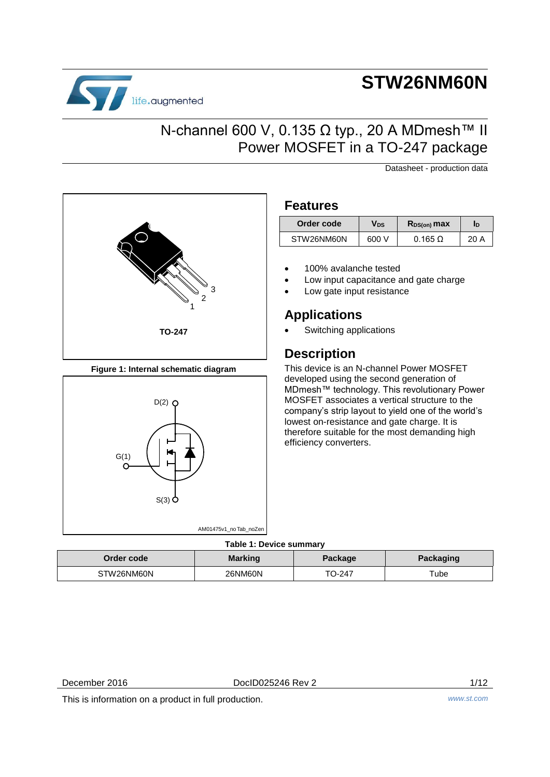# life.augmented

# **STW26NM60N**

### N-channel 600 V, 0.135 Ω typ., 20 A MDmesh<sup>™</sup> II Power MOSFET in a TO-247 package

Datasheet - production data



**Figure 1: Internal schematic diagram**



### **Features**

| Order code | Vds   | $R_{DS(on)}$ max | ID   |
|------------|-------|------------------|------|
| STW26NM60N | 600 V | $0.165 \Omega$   | 20 A |

- 100% avalanche tested
- Low input capacitance and gate charge
- Low gate input resistance

### **Applications**

Switching applications

### **Description**

This device is an N-channel Power MOSFET developed using the second generation of MDmesh™ technology. This revolutionary Power MOSFET associates a vertical structure to the company's strip layout to yield one of the world's lowest on-resistance and gate charge. It is therefore suitable for the most demanding high efficiency converters.

#### **Table 1: Device summary**

| Order code | <b>Marking</b> | Package | <b>Packaging</b> |  |  |  |
|------------|----------------|---------|------------------|--|--|--|
| STW26NM60N | 26NM60N        | TO-247  | Tube             |  |  |  |

December 2016 DocID025246 Rev 2 1/12

This is information on a product in full production. *www.st.com*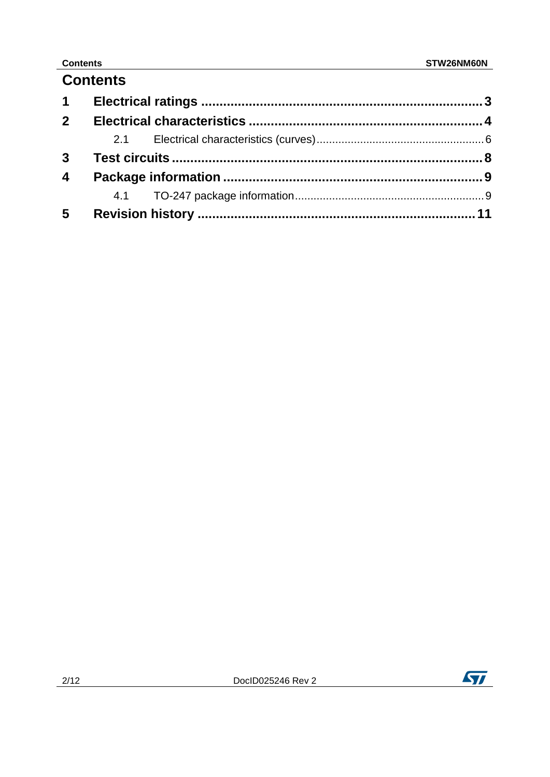### **Contents Contents**

### **Contents**

| $1 \quad$               |  |  |
|-------------------------|--|--|
| 2 <sup>1</sup>          |  |  |
|                         |  |  |
| 3 <sup>1</sup>          |  |  |
| $\overline{\mathbf{4}}$ |  |  |
|                         |  |  |
| $5\overline{)}$         |  |  |

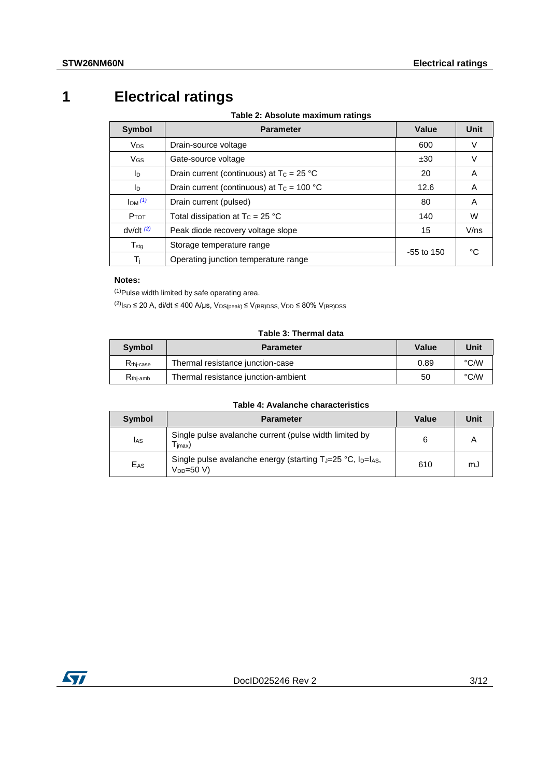## **1 Electrical ratings**

**Table 2: Absolute maximum ratings**

<span id="page-2-0"></span>

| Symbol                      | <b>Parameter</b>                             | Value        | Unit |  |
|-----------------------------|----------------------------------------------|--------------|------|--|
| <b>V<sub>DS</sub></b>       | Drain-source voltage                         | 600          | V    |  |
| $V_{GS}$                    | Gate-source voltage                          | ±30          | V    |  |
| ID                          | Drain current (continuous) at $T_c = 25 °C$  | 20           | A    |  |
| ID                          | Drain current (continuous) at $T_c = 100 °C$ | 12.6         | A    |  |
| Im(1)                       | Drain current (pulsed)                       | 80           | A    |  |
| <b>P</b> TOT                | Total dissipation at $T_c = 25 °C$           | 140          | W    |  |
| $dv/dt$ <sup>(2)</sup>      | Peak diode recovery voltage slope            | 15           | V/ns |  |
| $\mathsf{T}_{\mathsf{stq}}$ | Storage temperature range                    |              | °C   |  |
| Ti                          | Operating junction temperature range         | $-55$ to 150 |      |  |

#### **Notes:**

<span id="page-2-1"></span> $(1)$ Pulse width limited by safe operating area.

<span id="page-2-2"></span> $(2)$ <sub>ISD</sub> ≤ 20 A, di/dt ≤ 400 A/µs, V<sub>DS(peak)</sub> ≤ V<sub>(BR)DSS</sub>, V<sub>DD</sub> ≤ 80% V<sub>(BR)DSS</sub>

#### **Table 3: Thermal data**

| Symbol                | <b>Parameter</b>                    | <b>Value</b> | Unit |
|-----------------------|-------------------------------------|--------------|------|
| R <sub>thi-case</sub> | Thermal resistance junction-case    | 0.89         | °C/W |
| $R_{\text{thi-amb}}$  | Thermal resistance junction-ambient | 50           | °C/W |

#### **Table 4: Avalanche characteristics**

| Symbol          | <b>Parameter</b>                                                                                                  | <b>Value</b> | Unit |
|-----------------|-------------------------------------------------------------------------------------------------------------------|--------------|------|
| <b>I</b> AS     | Single pulse avalanche current (pulse width limited by<br>imax)                                                   |              |      |
| E <sub>AS</sub> | Single pulse avalanche energy (starting T <sub>J</sub> =25 °C, I <sub>D</sub> =I <sub>AS</sub> ,<br>$V_{DD}=50 V$ | 610          | mJ   |

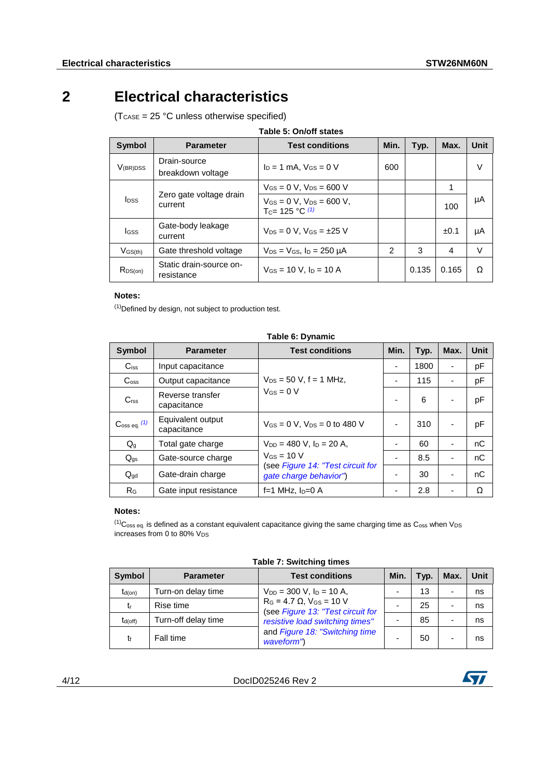### **2 Electrical characteristics**

<span id="page-3-0"></span> $(T_{\text{CASE}} = 25 \text{ °C}$  unless otherwise specified)

|  | Table 5: On/off states |
|--|------------------------|
|  |                        |

| Symbol                  | <b>Parameter</b>                      | <b>Test conditions</b>                                               | Min.          | Typ.  | Max.  | Unit |
|-------------------------|---------------------------------------|----------------------------------------------------------------------|---------------|-------|-------|------|
| $V_{(BR)DSS}$           | Drain-source<br>breakdown voltage     | $I_D = 1$ mA. $V_{GS} = 0$ V                                         | 600           |       |       | V    |
|                         |                                       | $V_{GS} = 0 V$ , $V_{DS} = 600 V$                                    |               |       | 1     |      |
| <b>I</b> <sub>DSS</sub> | Zero gate voltage drain<br>current    | $V_{GS} = 0 V$ , $V_{DS} = 600 V$ ,<br>T <sub>C</sub> = 125 °C $(1)$ |               |       | 100   | μA   |
| <b>I</b> GSS            | Gate-body leakage<br>current          | $V_{DS} = 0$ V, $V_{GS} = \pm 25$ V                                  |               |       | ±0.1  | μA   |
| $V$ GS(th)              | Gate threshold voltage                | $V_{DS}$ = $V_{GS}$ , $I_D$ = 250 $\mu$ A                            | $\mathcal{P}$ | 3     | 4     | V    |
| $R_{DS(on)}$            | Static drain-source on-<br>resistance | $V$ <sub>GS</sub> = 10 V, $I_D$ = 10 A                               |               | 0.135 | 0.165 | O    |

#### **Notes:**

<span id="page-3-1"></span>(1)Defined by design, not subject to production test.

<span id="page-3-3"></span>

| Symbol                     | <b>Parameter</b>                 | <b>Test conditions</b>                                      | Min. | Typ. | Max. | <b>Unit</b> |
|----------------------------|----------------------------------|-------------------------------------------------------------|------|------|------|-------------|
| $C$ <sub>iss</sub>         | Input capacitance                |                                                             | Ξ.   | 1800 |      | pF          |
| $C_{\rm oss}$              | Output capacitance               | $V_{DS} = 50$ V, f = 1 MHz,                                 |      | 115  |      | pF          |
| C <sub>rss</sub>           | Reverse transfer<br>capacitance  | $V_{GS} = 0 V$                                              |      | 6    |      | pF          |
| $\mathbf{C}$ oss eq. $(1)$ | Equivalent output<br>capacitance | $V_{GS} = 0$ V, $V_{DS} = 0$ to 480 V                       |      | 310  |      | pF          |
| $Q_g$                      | Total gate charge                | $V_{DD} = 480$ V, $I_D = 20$ A,                             |      | 60   |      | nC          |
| $Q_{gs}$                   | Gate-source charge               | $V$ <sub>GS</sub> = 10 V                                    |      | 8.5  |      | nC          |
| $Q_{\text{gd}}$            | Gate-drain charge                | (see Figure 14: "Test circuit for<br>gate charge behavior") |      | 30   |      | nC          |
| R <sub>G</sub>             | Gate input resistance            | f=1 MHz, $I_D=0$ A                                          |      | 2.8  |      | Ω           |

#### **Table 6: Dynamic**

#### **Notes:**

<span id="page-3-2"></span> $(1)$ C<sub>oss eq.</sub> is defined as a constant equivalent capacitance giving the same charging time as C<sub>oss</sub> when V<sub>DS</sub> increases from 0 to 80% Vps

| Symbol       | <b>Parameter</b>    | <b>Test conditions</b>                                                    | Min.                     | Typ. | Max. | Unit |
|--------------|---------------------|---------------------------------------------------------------------------|--------------------------|------|------|------|
| $t_{d(on)}$  | Turn-on delay time  | $V_{DD} = 300$ V, $I_D = 10$ A,                                           | $\overline{\phantom{0}}$ | 13   |      | ns   |
| tr           | Rise time           | $R_G = 4.7 \Omega$ , $V_{GS} = 10 V$<br>(see Figure 13: "Test circuit for | $\overline{\phantom{a}}$ | 25   |      | ns   |
| $t_{d(off)}$ | Turn-off delay time | resistive load switching times"                                           | -                        | 85   |      | ns   |
| t£           | Fall time           | and Figure 18: "Switching time<br>waveform")                              | -                        | 50   |      | ns   |

#### **Table 7: Switching times**



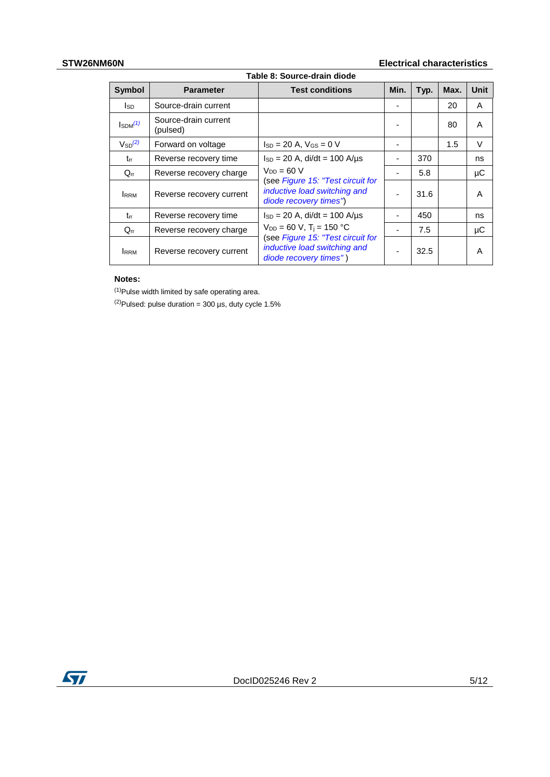### **STW26NM60N Electrical characteristics**

<span id="page-4-2"></span>

| Table 8: Source-drain diode |                                            |                                                                                             |      |      |      |        |
|-----------------------------|--------------------------------------------|---------------------------------------------------------------------------------------------|------|------|------|--------|
| <b>Symbol</b>               | <b>Parameter</b><br><b>Test conditions</b> |                                                                                             | Min. | Typ. | Max. | Unit   |
| lsd                         | Source-drain current                       |                                                                                             |      |      | 20   | A      |
| $I_{SDM}^{(1)}$             | Source-drain current<br>(pulsed)           |                                                                                             |      |      | 80   | A      |
| $V_{SD}^{(2)}$              | Forward on voltage                         | $I_{SD} = 20$ A, $V_{GS} = 0$ V                                                             | -    |      | 1.5  | $\vee$ |
| trr                         | Reverse recovery time                      | $I_{SD} = 20$ A, di/dt = 100 A/us                                                           |      | 370  |      | ns     |
| $Q_{rr}$                    | Reverse recovery charge                    | $V_{DD} = 60 V$                                                                             |      | 5.8  |      | μC     |
| <b>RRM</b>                  | Reverse recovery current                   | (see Figure 15: "Test circuit for<br>inductive load switching and<br>diode recovery times") |      | 31.6 |      | A      |
| $t_{rr}$                    | Reverse recovery time                      | $I_{SD} = 20$ A, di/dt = 100 A/us                                                           |      | 450  |      | ns     |
| $Q_{rr}$                    | Reverse recovery charge                    | $V_{DD} = 60 V$ , T <sub>i</sub> = 150 °C                                                   |      | 7.5  |      | μC     |
| <b>I</b> RRM                | Reverse recovery current                   | (see Figure 15: "Test circuit for<br>inductive load switching and<br>diode recovery times") |      | 32.5 |      | A      |

#### **Notes:**

<span id="page-4-0"></span> $(1)$ Pulse width limited by safe operating area.

<span id="page-4-1"></span> $(2)$ Pulsed: pulse duration = 300 µs, duty cycle 1.5%

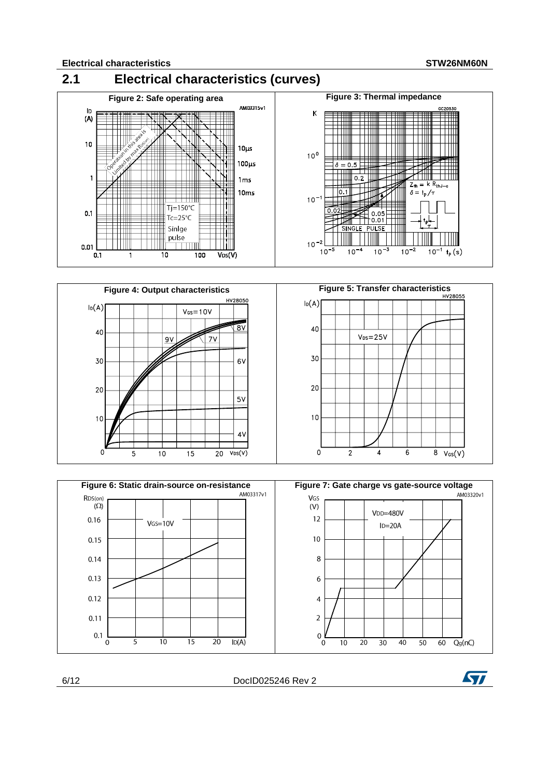<span id="page-5-0"></span>





6/12 DocID025246 Rev 2

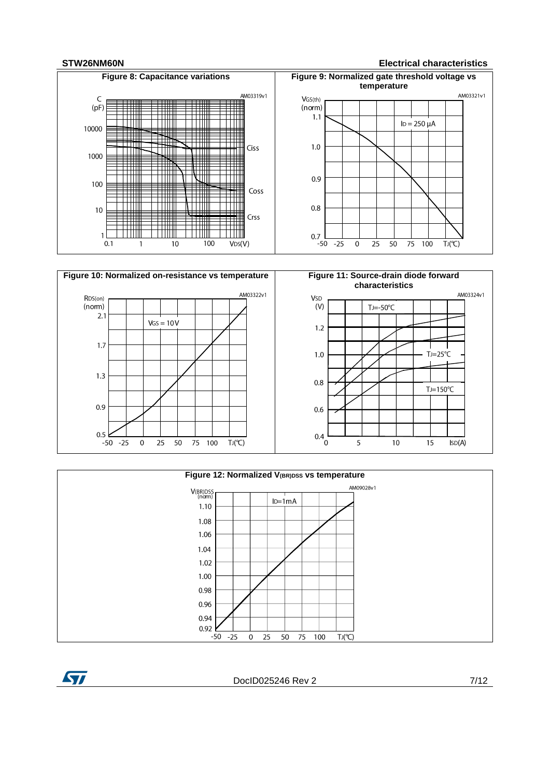ST

#### **STW26NM60N Electrical characteristics**









DocID025246 Rev 2 7/12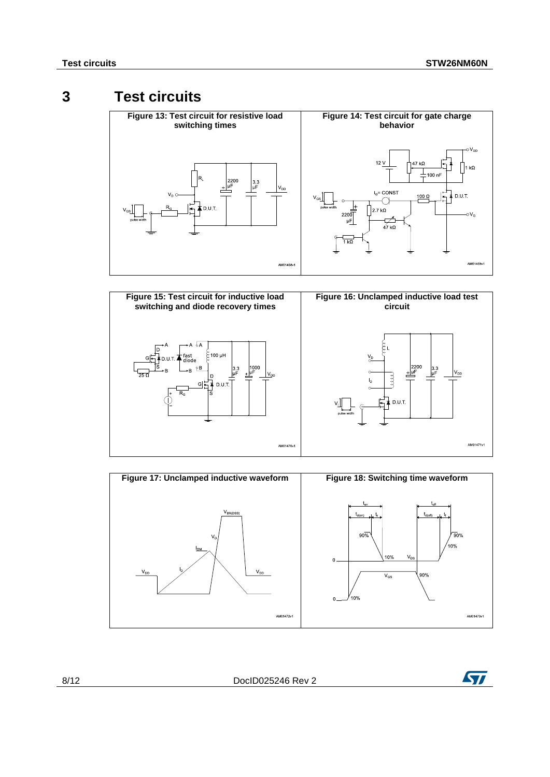### **3 Test circuits**

<span id="page-7-2"></span><span id="page-7-1"></span><span id="page-7-0"></span>

<span id="page-7-4"></span>

<span id="page-7-3"></span>

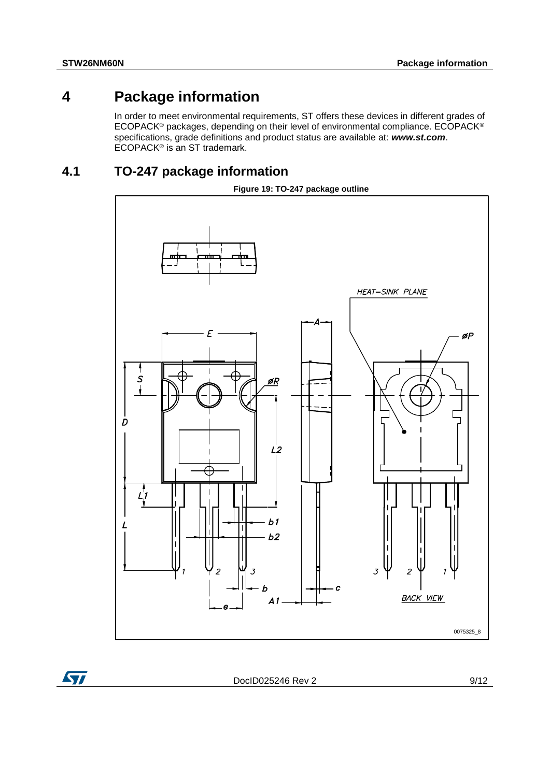ST

### **4 Package information**

<span id="page-8-0"></span>In order to meet environmental requirements, ST offers these devices in different grades of ECOPACK® packages, depending on their level of environmental compliance. ECOPACK® specifications, grade definitions and product status are available at: *www.st.com*. ECOPACK<sup>®</sup> is an ST trademark.

### **4.1 TO-247 package information**

<span id="page-8-1"></span>

DocID025246 Rev 2 9/12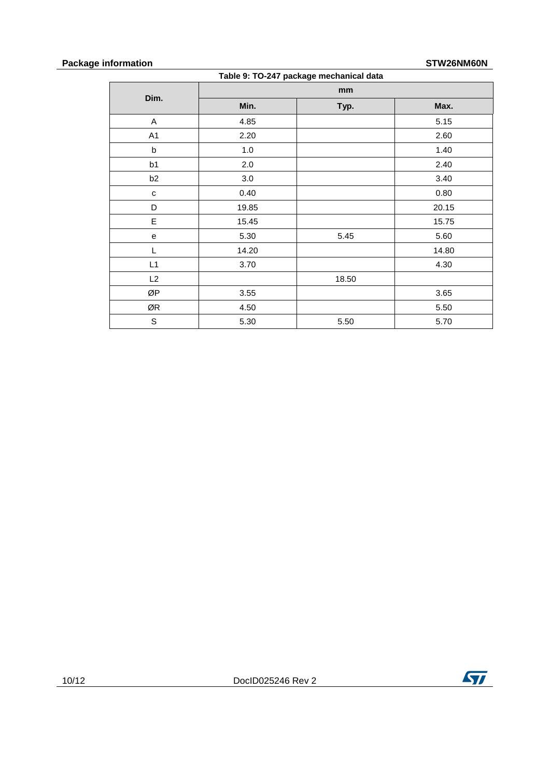#### **Package information STW26NM60N**

**Table 9: TO-247 package mechanical data**

|                                   |         | mm    |       |
|-----------------------------------|---------|-------|-------|
| Dim.                              | Min.    | Typ.  | Max.  |
| A                                 | 4.85    |       | 5.15  |
| A1                                | 2.20    |       | 2.60  |
| $\sf b$                           | $1.0\,$ |       | 1.40  |
| b1                                | $2.0\,$ |       | 2.40  |
| b2                                | 3.0     |       | 3.40  |
| ${\bf c}$                         | 0.40    |       | 0.80  |
| D                                 | 19.85   |       | 20.15 |
| E                                 | 15.45   |       | 15.75 |
| $\mathsf{e}% _{t}\left( t\right)$ | 5.30    | 5.45  | 5.60  |
| L                                 | 14.20   |       | 14.80 |
| L1                                | 3.70    |       | 4.30  |
| L2                                |         | 18.50 |       |
| ØP                                | 3.55    |       | 3.65  |
| ØR                                | 4.50    |       | 5.50  |
| $\mathsf S$                       | 5.30    | 5.50  | 5.70  |

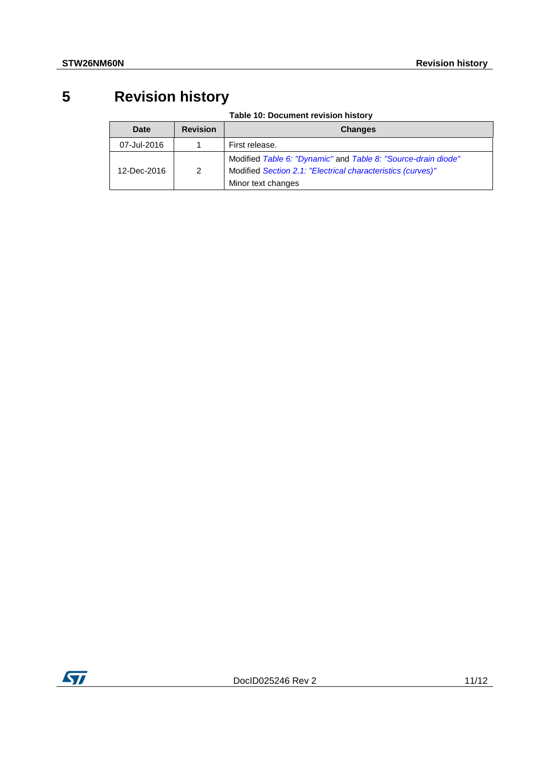# **5 Revision history**

**Table 10: Document revision history**

<span id="page-10-0"></span>

| <b>Date</b> | <b>Revision</b> | <b>Changes</b>                                                                                                                                     |
|-------------|-----------------|----------------------------------------------------------------------------------------------------------------------------------------------------|
| 07-Jul-2016 |                 | First release.                                                                                                                                     |
| 12-Dec-2016 | 2               | Modified Table 6: "Dynamic" and Table 8: "Source-drain diode"<br>Modified Section 2.1: "Electrical characteristics (curves)"<br>Minor text changes |